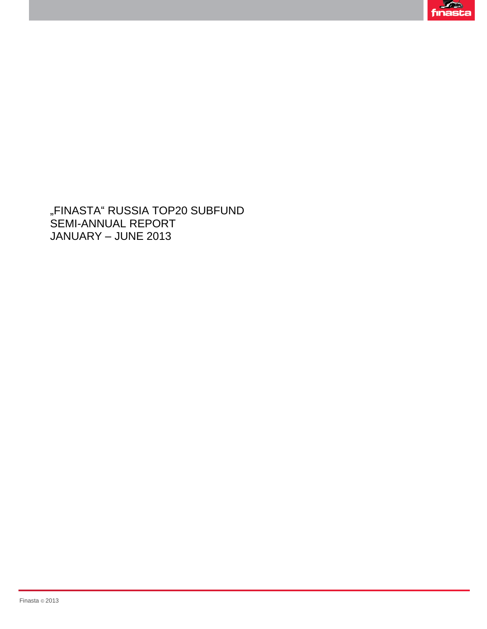

"FINASTA" RUSSIA TOP20 SUBFUND SEMI-ANNUAL REPORT JANUARY – JUNE 2013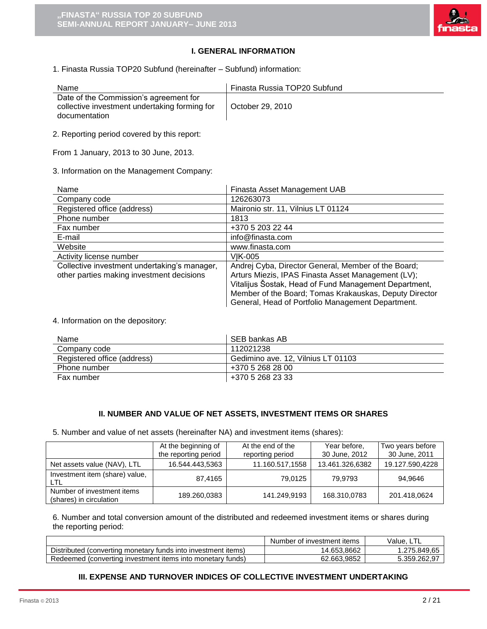

# **I. GENERAL INFORMATION**

1. Finasta Russia TOP20 Subfund (hereinafter – Subfund) information:

| Name                                                                                                     | Finasta Russia TOP20 Subfund |
|----------------------------------------------------------------------------------------------------------|------------------------------|
| Date of the Commission's agreement for<br>collective investment undertaking forming for<br>documentation | October 29, 2010             |

2. Reporting period covered by this report:

From 1 January, 2013 to 30 June, 2013.

3. Information on the Management Company:

| Name                                         | Finasta Asset Management UAB                           |
|----------------------------------------------|--------------------------------------------------------|
| Company code                                 | 126263073                                              |
| Registered office (address)                  | Maironio str. 11, Vilnius LT 01124                     |
| Phone number                                 | 1813                                                   |
| Fax number                                   | +370 5 203 22 44                                       |
| E-mail                                       | info@finasta.com                                       |
| Website                                      | www.finasta.com                                        |
| Activity license number                      | VIK-005                                                |
| Collective investment undertaking's manager, | Andrej Cyba, Director General, Member of the Board;    |
| other parties making investment decisions    | Arturs Miezis, IPAS Finasta Asset Management (LV);     |
|                                              | Vitalijus Šostak, Head of Fund Management Department,  |
|                                              | Member of the Board; Tomas Krakauskas, Deputy Director |
|                                              | General, Head of Portfolio Management Department.      |

4. Information on the depository:

| Name                        | SEB bankas AB                      |
|-----------------------------|------------------------------------|
| Company code                | 112021238                          |
| Registered office (address) | Gedimino ave. 12, Vilnius LT 01103 |
| Phone number                | +370 5 268 28 00                   |
| Fax number                  | +370 5 268 23 33                   |

### **II. NUMBER AND VALUE OF NET ASSETS, INVESTMENT ITEMS OR SHARES**

5. Number and value of net assets (hereinafter NA) and investment items (shares):

|                                                       | At the beginning of<br>the reporting period | At the end of the<br>reporting period | Year before,<br>30 June, 2012 | Two years before<br>30 June, 2011 |
|-------------------------------------------------------|---------------------------------------------|---------------------------------------|-------------------------------|-----------------------------------|
| Net assets value (NAV), LTL                           | 16.544.443.5363                             | 11.160.517,1558                       | 13.461.326.6382               | 19.127.590.4228                   |
| Investment item (share) value,<br>LTL                 | 87.4165                                     | 79.0125                               | 79.9793                       | 94.9646                           |
| Number of investment items<br>(shares) in circulation | 189.260,0383                                | 141.249,9193                          | 168.310,0783                  | 201.418,0624                      |

6. Number and total conversion amount of the distributed and redeemed investment items or shares during the reporting period:

|                                                               | Number of investment items | Value, LTL   |
|---------------------------------------------------------------|----------------------------|--------------|
| Distributed (converting monetary funds into investment items) | 14.653.8662                | .275.849.65  |
| Redeemed (converting investment items into monetary funds)    | 62.663.9852                | 5.359.262.97 |

# **III. EXPENSE AND TURNOVER INDICES OF COLLECTIVE INVESTMENT UNDERTAKING**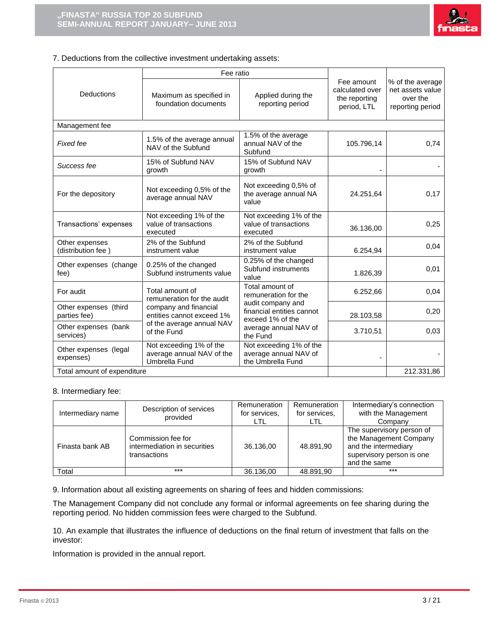

### 7. Deductions from the collective investment undertaking assets:

|                                       | Fee ratio                                                                                 |                                                                       |                                                               |                                                                      |  |
|---------------------------------------|-------------------------------------------------------------------------------------------|-----------------------------------------------------------------------|---------------------------------------------------------------|----------------------------------------------------------------------|--|
| Deductions                            | Applied during the<br>Maximum as specified in<br>foundation documents<br>reporting period |                                                                       | Fee amount<br>calculated over<br>the reporting<br>period, LTL | % of the average<br>net assets value<br>over the<br>reporting period |  |
| Management fee                        |                                                                                           |                                                                       |                                                               |                                                                      |  |
| Fixed fee                             | 1.5% of the average annual<br>NAV of the Subfund                                          | 1.5% of the average<br>annual NAV of the<br>Subfund                   | 105.796,14                                                    | 0,74                                                                 |  |
| Success fee                           | 15% of Subfund NAV<br>growth                                                              | 15% of Subfund NAV<br>growth                                          |                                                               |                                                                      |  |
| For the depository                    | Not exceeding 0,5% of the<br>average annual NAV                                           | Not exceeding 0,5% of<br>the average annual NA<br>value               | 24.251.64                                                     | 0,17                                                                 |  |
| Transactions' expenses                | Not exceeding 1% of the<br>value of transactions<br>executed                              | Not exceeding 1% of the<br>value of transactions<br>executed          | 36.136,00                                                     | 0,25                                                                 |  |
| Other expenses<br>(distribution fee)  | 2% of the Subfund<br>instrument value                                                     | 2% of the Subfund<br>instrument value                                 | 6.254,94                                                      | 0,04                                                                 |  |
| Other expenses (change<br>fee)        | 0.25% of the changed<br>Subfund instruments value                                         | 0.25% of the changed<br>Subfund instruments<br>value                  | 1.826,39                                                      | 0,01                                                                 |  |
| For audit                             | Total amount of<br>remuneration for the audit                                             | Total amount of<br>remuneration for the                               | 6.252,66                                                      | 0,04                                                                 |  |
| Other expenses (third<br>parties fee) | company and financial<br>entities cannot exceed 1%                                        | audit company and<br>financial entities cannot<br>exceed 1% of the    | 28.103,58                                                     | 0,20                                                                 |  |
| Other expenses (bank<br>services)     | of the average annual NAV<br>of the Fund                                                  | average annual NAV of<br>the Fund                                     | 3.710,51                                                      | 0,03                                                                 |  |
| Other expenses (legal<br>expenses)    | Not exceeding 1% of the<br>average annual NAV of the<br>Umbrella Fund                     | Not exceeding 1% of the<br>average annual NAV of<br>the Umbrella Fund |                                                               |                                                                      |  |
| Total amount of expenditure           |                                                                                           |                                                                       |                                                               | 212.331,86                                                           |  |

### 8. Intermediary fee:

| Intermediary name | Description of services<br>provided                                | Remuneration<br>for services.<br>LTL | Remuneration<br>for services.<br>LTL | Intermediary's connection<br>with the Management<br>Company                                                              |
|-------------------|--------------------------------------------------------------------|--------------------------------------|--------------------------------------|--------------------------------------------------------------------------------------------------------------------------|
| Finasta bank AB   | Commission fee for<br>intermediation in securities<br>transactions | 36.136.00                            | 48.891.90                            | The supervisory person of<br>the Management Company<br>and the intermediary<br>supervisory person is one<br>and the same |
| Total             | ***                                                                | 36.136,00                            | 48.891.90                            | $***$                                                                                                                    |

9. Information about all existing agreements on sharing of fees and hidden commissions:

The Management Company did not conclude any formal or informal agreements on fee sharing during the reporting period. No hidden commission fees were charged to the Subfund.

10. An example that illustrates the influence of deductions on the final return of investment that falls on the investor:

Information is provided in the annual report.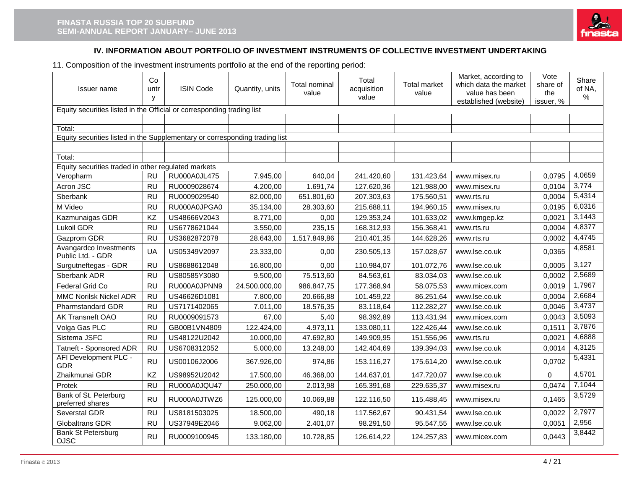

# **IV. INFORMATION ABOUT PORTFOLIO OF INVESTMENT INSTRUMENTS OF COLLECTIVE INVESTMENT UNDERTAKING**

11. Composition of the investment instruments portfolio at the end of the reporting period:

| Issuer name                                                                 | Co<br>untr<br>У | <b>ISIN Code</b> | Quantity, units | Total nominal<br>value | Total<br>acquisition<br>value | <b>Total market</b><br>value | Market, according to<br>which data the market<br>value has been<br>established (website) | Vote<br>share of<br>the<br>issuer, % | Share<br>of NA,<br>% |  |  |
|-----------------------------------------------------------------------------|-----------------|------------------|-----------------|------------------------|-------------------------------|------------------------------|------------------------------------------------------------------------------------------|--------------------------------------|----------------------|--|--|
| Equity securities listed in the Official or corresponding trading list      |                 |                  |                 |                        |                               |                              |                                                                                          |                                      |                      |  |  |
|                                                                             |                 |                  |                 |                        |                               |                              |                                                                                          |                                      |                      |  |  |
| Total:                                                                      |                 |                  |                 |                        |                               |                              |                                                                                          |                                      |                      |  |  |
| Equity securities listed in the Supplementary or corresponding trading list |                 |                  |                 |                        |                               |                              |                                                                                          |                                      |                      |  |  |
|                                                                             |                 |                  |                 |                        |                               |                              |                                                                                          |                                      |                      |  |  |
| Total:<br>Equity securities traded in other regulated markets               |                 |                  |                 |                        |                               |                              |                                                                                          |                                      |                      |  |  |
| Veropharm                                                                   | <b>RU</b>       | RU000A0JL475     | 7.945,00        | 640,04                 | 241.420,60                    | 131.423,64                   | www.misex.ru                                                                             | 0,0795                               | 4,0659               |  |  |
| Acron JSC                                                                   | <b>RU</b>       | RU0009028674     | 4.200,00        | 1.691,74               | 127.620,36                    | 121.988,00                   | www.misex.ru                                                                             | 0.0104                               | 3,774                |  |  |
| Sberbank                                                                    | <b>RU</b>       | RU0009029540     | 82.000,00       | 651.801,60             | 207.303,63                    | 175.560,51                   | www.rts.ru                                                                               | 0,0004                               | 5,4314               |  |  |
| M Video                                                                     | <b>RU</b>       | RU000A0JPGA0     | 35.134,00       | 28.303,60              | 215.688,11                    | 194.960,15                   | www.misex.ru                                                                             | 0,0195                               | 6,0316               |  |  |
| Kazmunaigas GDR                                                             | KZ              | US48666V2043     | 8.771,00        | 0,00                   | 129.353,24                    | 101.633,02                   | www.kmgep.kz                                                                             | 0,0021                               | 3,1443               |  |  |
| Lukoil GDR                                                                  | <b>RU</b>       | US6778621044     | 3.550,00        | 235,15                 | 168.312,93                    | 156.368,41                   | www.rts.ru                                                                               | 0,0004                               | 4,8377               |  |  |
| Gazprom GDR                                                                 | <b>RU</b>       | US3682872078     | 28.643,00       | 1.517.849,86           | 210.401,35                    | 144.628,26                   | www.rts.ru                                                                               | 0,0002                               | 4,4745               |  |  |
| Avangardco Investments<br>Public Ltd. - GDR                                 | UA              | US05349V2097     | 23.333,00       | 0,00                   | 230.505,13                    | 157.028,67                   | www.lse.co.uk                                                                            | 0,0365                               | 4,8581               |  |  |
| Surgutneftegas - GDR                                                        | <b>RU</b>       | US8688612048     | 16.800,00       | 0,00                   | 110.984,07                    | 101.072,76                   | www.lse.co.uk                                                                            | 0.0005                               | 3,127                |  |  |
| Sberbank ADR                                                                | <b>RU</b>       | US80585Y3080     | 9.500,00        | 75.513,60              | 84.563,61                     | 83.034,03                    | www.lse.co.uk                                                                            | 0,0002                               | 2,5689               |  |  |
| <b>Federal Grid Co</b>                                                      | <b>RU</b>       | RU000A0JPNN9     | 24.500.000,00   | 986.847,75             | 177.368,94                    | 58.075,53                    | www.micex.com                                                                            | 0,0019                               | 1,7967               |  |  |
| MMC Norilsk Nickel ADR                                                      | <b>RU</b>       | US46626D1081     | 7.800,00        | 20.666,88              | 101.459,22                    | 86.251,64                    | www.lse.co.uk                                                                            | 0,0004                               | 2,6684               |  |  |
| <b>Pharmstandard GDR</b>                                                    | <b>RU</b>       | US7171402065     | 7.011,00        | 18.576,35              | 83.118,64                     | 112.282,27                   | www.lse.co.uk                                                                            | 0,0046                               | 3,4737               |  |  |
| AK Transneft OAO                                                            | <b>RU</b>       | RU0009091573     | 67,00           | 5,40                   | 98.392,89                     | 113.431,94                   | www.micex.com                                                                            | 0.0043                               | 3,5093               |  |  |
| Volga Gas PLC                                                               | <b>RU</b>       | GB00B1VN4809     | 122.424,00      | 4.973,11               | 133.080,11                    | 122.426,44                   | www.lse.co.uk                                                                            | 0,1511                               | 3,7876               |  |  |
| Sistema JSFC                                                                | <b>RU</b>       | US48122U2042     | 10.000,00       | 47.692,80              | 149.909,95                    | 151.556,96                   | www.rts.ru                                                                               | 0,0021                               | 4,6888               |  |  |
| Tatneft - Sponsored ADR                                                     | <b>RU</b>       | US6708312052     | 5.000,00        | 13.248,00              | 142.404,69                    | 139.394,03                   | www.lse.co.uk                                                                            | 0,0014                               | 4,3125               |  |  |
| AFI Development PLC -<br><b>GDR</b>                                         | <b>RU</b>       | US00106J2006     | 367.926,00      | 974,86                 | 153.116,27                    | 175.614,20                   | www.lse.co.uk                                                                            | 0,0702                               | 5,4331               |  |  |
| Zhaikmunai GDR                                                              | KZ              | US98952U2042     | 17.500,00       | 46.368,00              | 144.637,01                    | 147.720,07                   | www.lse.co.uk                                                                            | $\Omega$                             | 4,5701               |  |  |
| Protek                                                                      | <b>RU</b>       | RU000A0JQU47     | 250.000,00      | 2.013,98               | 165.391,68                    | 229.635,37                   | www.misex.ru                                                                             | 0,0474                               | 7,1044               |  |  |
| Bank of St. Peterburg<br>preferred shares                                   | <b>RU</b>       | RU000A0JTWZ6     | 125.000,00      | 10.069,88              | 122.116,50                    | 115.488,45                   | www.misex.ru                                                                             | 0,1465                               | 3,5729               |  |  |
| Severstal GDR                                                               | <b>RU</b>       | US8181503025     | 18.500,00       | 490,18                 | 117.562,67                    | 90.431,54                    | www.lse.co.uk                                                                            | 0,0022                               | 2,7977               |  |  |
| <b>Globaltrans GDR</b>                                                      | <b>RU</b>       | US37949E2046     | 9.062,00        | 2.401,07               | 98.291,50                     | 95.547,55                    | www.lse.co.uk                                                                            | 0,0051                               | 2,956                |  |  |
| Bank St Petersburg<br>OJSC                                                  | <b>RU</b>       | RU0009100945     | 133.180,00      | 10.728,85              | 126.614,22                    | 124.257,83                   | www.micex.com                                                                            | 0,0443                               | 3,8442               |  |  |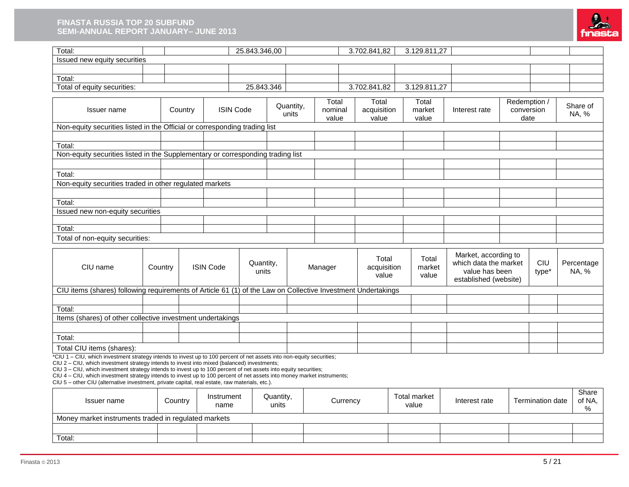#### **FINASTA RUSSIA TOP 20 SUBFUND SEMI-ANNUAL REPORT JANUARY– JUNE 2013**



| Total:                                                                                                                                                                                                                                                                                                                                                                                                                                                                                                                                                                                             |         |         |                    | 25.843.346,00      |                    |                           |          | 3.702.841,82                  |                              | 3.129.811,27             |                                                                                          |                                    |                         |                      |
|----------------------------------------------------------------------------------------------------------------------------------------------------------------------------------------------------------------------------------------------------------------------------------------------------------------------------------------------------------------------------------------------------------------------------------------------------------------------------------------------------------------------------------------------------------------------------------------------------|---------|---------|--------------------|--------------------|--------------------|---------------------------|----------|-------------------------------|------------------------------|--------------------------|------------------------------------------------------------------------------------------|------------------------------------|-------------------------|----------------------|
| Issued new equity securities                                                                                                                                                                                                                                                                                                                                                                                                                                                                                                                                                                       |         |         |                    |                    |                    |                           |          |                               |                              |                          |                                                                                          |                                    |                         |                      |
|                                                                                                                                                                                                                                                                                                                                                                                                                                                                                                                                                                                                    |         |         |                    |                    |                    |                           |          |                               |                              |                          |                                                                                          |                                    |                         |                      |
| Total:                                                                                                                                                                                                                                                                                                                                                                                                                                                                                                                                                                                             |         |         |                    |                    |                    |                           |          |                               |                              |                          |                                                                                          |                                    |                         |                      |
| Total of equity securities:                                                                                                                                                                                                                                                                                                                                                                                                                                                                                                                                                                        |         |         |                    | 25.843.346         |                    |                           |          | 3.702.841,82                  |                              | 3.129.811,27             |                                                                                          |                                    |                         |                      |
| <b>Issuer</b> name<br>Non-equity securities listed in the Official or corresponding trading list                                                                                                                                                                                                                                                                                                                                                                                                                                                                                                   |         | Country | <b>ISIN Code</b>   |                    | Quantity,<br>units | Total<br>nominal<br>value |          | Total<br>acquisition<br>value |                              | Total<br>market<br>value | Interest rate                                                                            | Redemption /<br>conversion<br>date |                         | Share of<br>NA, %    |
|                                                                                                                                                                                                                                                                                                                                                                                                                                                                                                                                                                                                    |         |         |                    |                    |                    |                           |          |                               |                              |                          |                                                                                          |                                    |                         |                      |
| Total:<br>Non-equity securities listed in the Supplementary or corresponding trading list                                                                                                                                                                                                                                                                                                                                                                                                                                                                                                          |         |         |                    |                    |                    |                           |          |                               |                              |                          |                                                                                          |                                    |                         |                      |
| Total:                                                                                                                                                                                                                                                                                                                                                                                                                                                                                                                                                                                             |         |         |                    |                    |                    |                           |          |                               |                              |                          |                                                                                          |                                    |                         |                      |
| Non-equity securities traded in other regulated markets                                                                                                                                                                                                                                                                                                                                                                                                                                                                                                                                            |         |         |                    |                    |                    |                           |          |                               |                              |                          |                                                                                          |                                    |                         |                      |
| Total:                                                                                                                                                                                                                                                                                                                                                                                                                                                                                                                                                                                             |         |         |                    |                    |                    |                           |          |                               |                              |                          |                                                                                          |                                    |                         |                      |
| Issued new non-equity securities                                                                                                                                                                                                                                                                                                                                                                                                                                                                                                                                                                   |         |         |                    |                    |                    |                           |          |                               |                              |                          |                                                                                          |                                    |                         |                      |
|                                                                                                                                                                                                                                                                                                                                                                                                                                                                                                                                                                                                    |         |         |                    |                    |                    |                           |          |                               |                              |                          |                                                                                          |                                    |                         |                      |
| Total:                                                                                                                                                                                                                                                                                                                                                                                                                                                                                                                                                                                             |         |         |                    |                    |                    |                           |          |                               |                              |                          |                                                                                          |                                    |                         |                      |
| Total of non-equity securities:                                                                                                                                                                                                                                                                                                                                                                                                                                                                                                                                                                    |         |         |                    |                    |                    |                           |          |                               |                              |                          |                                                                                          |                                    |                         |                      |
|                                                                                                                                                                                                                                                                                                                                                                                                                                                                                                                                                                                                    |         |         |                    |                    |                    |                           |          |                               |                              |                          |                                                                                          |                                    |                         |                      |
| CIU name                                                                                                                                                                                                                                                                                                                                                                                                                                                                                                                                                                                           | Country |         | <b>ISIN Code</b>   | Quantity,<br>units |                    | Manager                   |          | Total<br>acquisition<br>value |                              | Total<br>market<br>value | Market, according to<br>which data the market<br>value has been<br>established (website) |                                    | CIU<br>type*            | Percentage<br>NA, %  |
| CIU items (shares) following requirements of Article 61 (1) of the Law on Collective Investment Undertakings                                                                                                                                                                                                                                                                                                                                                                                                                                                                                       |         |         |                    |                    |                    |                           |          |                               |                              |                          |                                                                                          |                                    |                         |                      |
|                                                                                                                                                                                                                                                                                                                                                                                                                                                                                                                                                                                                    |         |         |                    |                    |                    |                           |          |                               |                              |                          |                                                                                          |                                    |                         |                      |
| Total:                                                                                                                                                                                                                                                                                                                                                                                                                                                                                                                                                                                             |         |         |                    |                    |                    |                           |          |                               |                              |                          |                                                                                          |                                    |                         |                      |
| Items (shares) of other collective investment undertakings                                                                                                                                                                                                                                                                                                                                                                                                                                                                                                                                         |         |         |                    |                    |                    |                           |          |                               |                              |                          |                                                                                          |                                    |                         |                      |
|                                                                                                                                                                                                                                                                                                                                                                                                                                                                                                                                                                                                    |         |         |                    |                    |                    |                           |          |                               |                              |                          |                                                                                          |                                    |                         |                      |
| Total:                                                                                                                                                                                                                                                                                                                                                                                                                                                                                                                                                                                             |         |         |                    |                    |                    |                           |          |                               |                              |                          |                                                                                          |                                    |                         |                      |
| Total CIU items (shares):<br>*CIU 1 - CIU, which investment strategy intends to invest up to 100 percent of net assets into non-equity securities;<br>CIU 2 - CIU, which investment strategy intends to invest into mixed (balanced) investments;<br>CIU 3 - CIU, which investment strategy intends to invest up to 100 percent of net assets into equity securities;<br>CIU 4 - CIU, which investment strategy intends to invest up to 100 percent of net assets into money market instruments;<br>CIU 5 - other CIU (alternative investment, private capital, real estate, raw materials, etc.). |         |         |                    |                    |                    |                           |          |                               |                              |                          |                                                                                          |                                    |                         |                      |
| Issuer name                                                                                                                                                                                                                                                                                                                                                                                                                                                                                                                                                                                        | Country |         | Instrument<br>name |                    | Quantity,<br>units |                           | Currency |                               | <b>Total market</b><br>value |                          | Interest rate                                                                            |                                    | <b>Termination date</b> | Share<br>of NA,<br>℅ |
| Money market instruments traded in regulated markets                                                                                                                                                                                                                                                                                                                                                                                                                                                                                                                                               |         |         |                    |                    |                    |                           |          |                               |                              |                          |                                                                                          |                                    |                         |                      |
| Total:                                                                                                                                                                                                                                                                                                                                                                                                                                                                                                                                                                                             |         |         |                    |                    |                    |                           |          |                               |                              |                          |                                                                                          |                                    |                         |                      |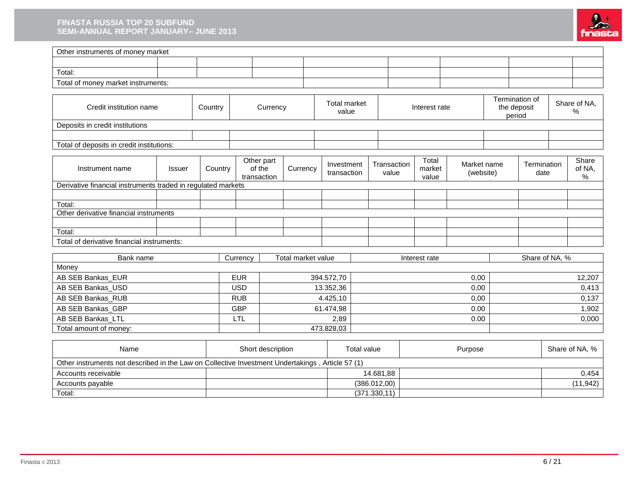#### **FINASTA RUSSIA TOP 20 SUBFUND SEMI-ANNUAL REPORT JANUARY– JUNE 2013**



| Other instruments of money market                                                                |                                    |         |            |                                     |                    |                              |                    |                      |                          |                          |  |                               |  |                         |
|--------------------------------------------------------------------------------------------------|------------------------------------|---------|------------|-------------------------------------|--------------------|------------------------------|--------------------|----------------------|--------------------------|--------------------------|--|-------------------------------|--|-------------------------|
|                                                                                                  |                                    |         |            |                                     |                    |                              |                    |                      |                          |                          |  |                               |  |                         |
| Total:                                                                                           |                                    |         |            |                                     |                    |                              |                    |                      |                          |                          |  |                               |  |                         |
| Total of money market instruments:                                                               |                                    |         |            |                                     |                    |                              |                    |                      |                          |                          |  |                               |  |                         |
|                                                                                                  |                                    |         |            |                                     |                    |                              |                    |                      |                          |                          |  |                               |  |                         |
|                                                                                                  | Credit institution name<br>Country |         | Currency   |                                     |                    | <b>Total market</b><br>value |                    |                      | Interest rate            |                          |  | Termination of<br>the deposit |  | Share of NA,<br>%       |
| Deposits in credit institutions                                                                  |                                    |         |            |                                     |                    |                              |                    |                      |                          |                          |  | period                        |  |                         |
| Total of deposits in credit institutions:                                                        |                                    |         |            |                                     |                    |                              |                    |                      |                          |                          |  |                               |  |                         |
|                                                                                                  |                                    |         |            |                                     |                    |                              |                    |                      |                          |                          |  |                               |  |                         |
| Instrument name                                                                                  | <b>Issuer</b>                      | Country |            | Other part<br>of the<br>transaction | Currency           | Investment<br>transaction    |                    | Transaction<br>value | Total<br>market<br>value | Market name<br>(website) |  | Termination<br>date           |  | Share<br>of NA,<br>$\%$ |
| Derivative financial instruments traded in regulated markets                                     |                                    |         |            |                                     |                    |                              |                    |                      |                          |                          |  |                               |  |                         |
|                                                                                                  |                                    |         |            |                                     |                    |                              |                    |                      |                          |                          |  |                               |  |                         |
| Total:<br>Other derivative financial instruments                                                 |                                    |         |            |                                     |                    |                              |                    |                      |                          |                          |  |                               |  |                         |
|                                                                                                  |                                    |         |            |                                     |                    |                              |                    |                      |                          |                          |  |                               |  |                         |
| Total:                                                                                           |                                    |         |            |                                     |                    |                              |                    |                      |                          |                          |  |                               |  |                         |
| Total of derivative financial instruments:                                                       |                                    |         |            |                                     |                    |                              |                    |                      |                          |                          |  |                               |  |                         |
|                                                                                                  |                                    |         |            |                                     |                    |                              |                    |                      |                          |                          |  |                               |  |                         |
| Bank name                                                                                        |                                    |         | Currency   |                                     | Total market value |                              |                    |                      | Interest rate            |                          |  | Share of NA, %                |  |                         |
| Money<br>AB SEB Bankas_EUR                                                                       |                                    |         | <b>EUR</b> |                                     |                    | 394.572,70                   |                    |                      |                          | 0,00                     |  |                               |  | 12,207                  |
| AB SEB Bankas_USD                                                                                |                                    |         | <b>USD</b> |                                     |                    | 13.352,36                    |                    |                      |                          | 0,00                     |  |                               |  | 0,413                   |
| AB SEB Bankas_RUB                                                                                |                                    |         | <b>RUB</b> |                                     |                    | 4.425,10                     |                    |                      |                          | 0,00                     |  |                               |  | 0,137                   |
| AB SEB Bankas_GBP                                                                                |                                    |         | <b>GBP</b> |                                     |                    | 61.474,98                    |                    |                      |                          | 0.00                     |  |                               |  | 1,902                   |
| AB SEB Bankas LTL                                                                                |                                    |         | LTL        |                                     |                    | 2,89                         |                    |                      |                          | 0.00                     |  |                               |  | 0,000                   |
| Total amount of money:                                                                           |                                    |         |            |                                     |                    | 473.828,03                   |                    |                      |                          |                          |  |                               |  |                         |
|                                                                                                  |                                    |         |            |                                     |                    |                              |                    |                      |                          |                          |  |                               |  |                         |
| Name                                                                                             |                                    |         |            | Short description                   |                    |                              | <b>Total value</b> |                      |                          | Purpose                  |  |                               |  | Share of NA, %          |
| Other instruments not described in the Law on Collective Investment Undertakings, Article 57 (1) |                                    |         |            |                                     |                    |                              |                    |                      |                          |                          |  |                               |  |                         |
| Accounts receivable                                                                              |                                    |         |            |                                     |                    |                              |                    | 14.681,88            |                          |                          |  |                               |  | 0,454                   |

Accounts payable (386.012,00) (386.012,00) (386.012,00)

Total: (371.330,11)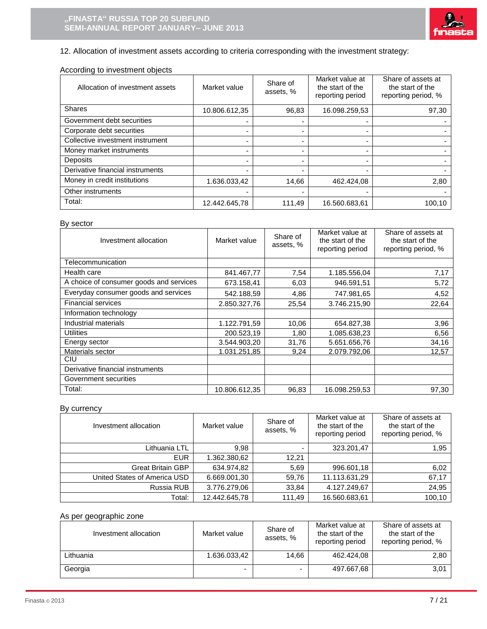

# 12. Allocation of investment assets according to criteria corresponding with the investment strategy:

### According to investment objects

| Allocation of investment assets  | Market value  | Share of<br>assets, %    | Market value at<br>the start of the<br>reporting period | Share of assets at<br>the start of the<br>reporting period, % |
|----------------------------------|---------------|--------------------------|---------------------------------------------------------|---------------------------------------------------------------|
| <b>Shares</b>                    | 10.806.612,35 | 96,83                    | 16.098.259,53                                           | 97,30                                                         |
| Government debt securities       |               |                          |                                                         |                                                               |
| Corporate debt securities        |               | -                        |                                                         |                                                               |
| Collective investment instrument |               | $\overline{\phantom{0}}$ |                                                         |                                                               |
| Money market instruments         |               | -                        |                                                         |                                                               |
| <b>Deposits</b>                  |               | ۰                        |                                                         |                                                               |
| Derivative financial instruments |               | ۰                        |                                                         |                                                               |
| Money in credit institutions     | 1.636.033,42  | 14,66                    | 462.424,08                                              | 2,80                                                          |
| Other instruments                |               |                          |                                                         |                                                               |
| Total:                           | 12.442.645,78 | 111.49                   | 16.560.683,61                                           | 100.10                                                        |

### By sector

| Investment allocation                   | Market value  | Share of<br>assets, % | Market value at<br>the start of the<br>reporting period | Share of assets at<br>the start of the<br>reporting period, % |
|-----------------------------------------|---------------|-----------------------|---------------------------------------------------------|---------------------------------------------------------------|
| Telecommunication                       |               |                       |                                                         |                                                               |
| Health care                             | 841.467,77    | 7,54                  | 1.185.556,04                                            | 7,17                                                          |
| A choice of consumer goods and services | 673.158,41    | 6,03                  | 946.591,51                                              | 5,72                                                          |
| Everyday consumer goods and services    | 542.188,59    | 4,86                  | 747.981,65                                              | 4,52                                                          |
| <b>Financial services</b>               | 2.850.327,76  | 25,54                 | 3.746.215,90                                            | 22,64                                                         |
| Information technology                  |               |                       |                                                         |                                                               |
| Industrial materials                    | 1.122.791,59  | 10,06                 | 654.827,38                                              | 3,96                                                          |
| <b>Utilities</b>                        | 200.523,19    | 1,80                  | 1.085.638,23                                            | 6,56                                                          |
| Energy sector                           | 3.544.903,20  | 31,76                 | 5.651.656,76                                            | 34,16                                                         |
| Materials sector                        | 1.031.251,85  | 9.24                  | 2.079.792,06                                            | 12,57                                                         |
| <b>CIU</b>                              |               |                       |                                                         |                                                               |
| Derivative financial instruments        |               |                       |                                                         |                                                               |
| Government securities                   |               |                       |                                                         |                                                               |
| Total:                                  | 10.806.612,35 | 96,83                 | 16.098.259,53                                           | 97,30                                                         |

# By currency

| Investment allocation        | Market value  | Share of<br>assets, % | Market value at<br>the start of the<br>reporting period | Share of assets at<br>the start of the<br>reporting period, % |
|------------------------------|---------------|-----------------------|---------------------------------------------------------|---------------------------------------------------------------|
| Lithuania LTL                | 9.98          | ۰                     | 323.201,47                                              | 1,95                                                          |
| <b>EUR</b>                   | 1.362.380,62  | 12,21                 |                                                         |                                                               |
| <b>Great Britain GBP</b>     | 634.974,82    | 5,69                  | 996.601,18                                              | 6,02                                                          |
| United States of America USD | 6.669.001,30  | 59,76                 | 11.113.631,29                                           | 67,17                                                         |
| Russia RUB                   | 3.776.279,06  | 33,84                 | 4.127.249,67                                            | 24,95                                                         |
| Total:                       | 12.442.645,78 | 111.49                | 16.560.683,61                                           | 100,10                                                        |

### As per geographic zone

| Investment allocation | Market value | Share of<br>assets, %    | Market value at<br>the start of the<br>reporting period | Share of assets at<br>the start of the<br>reporting period, % |
|-----------------------|--------------|--------------------------|---------------------------------------------------------|---------------------------------------------------------------|
| Lithuania             | 1.636.033,42 | 14.66                    | 462.424.08                                              | 2,80                                                          |
| Georgia               | -            | $\overline{\phantom{0}}$ | 497.667,68                                              | 3,01                                                          |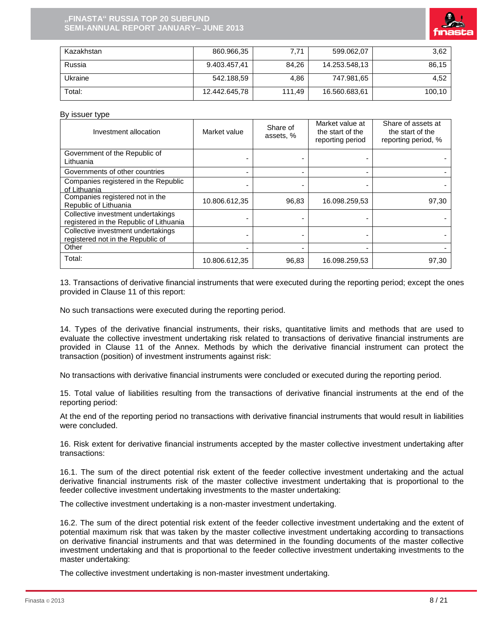

| Kazakhstan | 860.966,35    | 7.71   | 599.062.07    | 3.62   |
|------------|---------------|--------|---------------|--------|
| Russia     | 9.403.457.41  | 84.26  | 14.253.548.13 | 86,15  |
| Ukraine    | 542.188,59    | 4.86   | 747.981.65    | 4.52   |
| Total:     | 12.442.645,78 | 111.49 | 16.560.683,61 | 100.10 |

#### By issuer type

| Investment allocation                                                         | Market value  | Share of<br>assets, %    | Market value at<br>the start of the<br>reporting period | Share of assets at<br>the start of the<br>reporting period, % |
|-------------------------------------------------------------------------------|---------------|--------------------------|---------------------------------------------------------|---------------------------------------------------------------|
| Government of the Republic of<br>Lithuania                                    |               |                          |                                                         |                                                               |
| Governments of other countries                                                |               | $\overline{\phantom{0}}$ |                                                         |                                                               |
| Companies registered in the Republic<br>of Lithuania                          |               |                          |                                                         |                                                               |
| Companies registered not in the<br>Republic of Lithuania                      | 10.806.612,35 | 96,83                    | 16.098.259,53                                           | 97,30                                                         |
| Collective investment undertakings<br>registered in the Republic of Lithuania |               |                          |                                                         |                                                               |
| Collective investment undertakings<br>registered not in the Republic of       |               |                          |                                                         |                                                               |
| Other                                                                         |               | $\overline{\phantom{0}}$ |                                                         |                                                               |
| Total:                                                                        | 10.806.612,35 | 96,83                    | 16.098.259,53                                           | 97,30                                                         |

13. Transactions of derivative financial instruments that were executed during the reporting period; except the ones provided in Clause 11 of this report:

No such transactions were executed during the reporting period.

14. Types of the derivative financial instruments, their risks, quantitative limits and methods that are used to evaluate the collective investment undertaking risk related to transactions of derivative financial instruments are provided in Clause 11 of the Annex. Methods by which the derivative financial instrument can protect the transaction (position) of investment instruments against risk:

No transactions with derivative financial instruments were concluded or executed during the reporting period.

15. Total value of liabilities resulting from the transactions of derivative financial instruments at the end of the reporting period:

At the end of the reporting period no transactions with derivative financial instruments that would result in liabilities were concluded.

16. Risk extent for derivative financial instruments accepted by the master collective investment undertaking after transactions:

16.1. The sum of the direct potential risk extent of the feeder collective investment undertaking and the actual derivative financial instruments risk of the master collective investment undertaking that is proportional to the feeder collective investment undertaking investments to the master undertaking:

The collective investment undertaking is a non-master investment undertaking.

16.2. The sum of the direct potential risk extent of the feeder collective investment undertaking and the extent of potential maximum risk that was taken by the master collective investment undertaking according to transactions on derivative financial instruments and that was determined in the founding documents of the master collective investment undertaking and that is proportional to the feeder collective investment undertaking investments to the master undertaking:

The collective investment undertaking is non-master investment undertaking.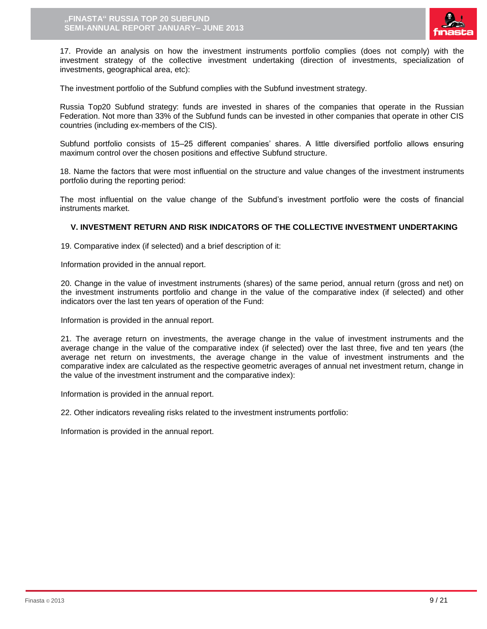

17. Provide an analysis on how the investment instruments portfolio complies (does not comply) with the investment strategy of the collective investment undertaking (direction of investments, specialization of investments, geographical area, etc):

The investment portfolio of the Subfund complies with the Subfund investment strategy.

Russia Top20 Subfund strategy: funds are invested in shares of the companies that operate in the Russian Federation. Not more than 33% of the Subfund funds can be invested in other companies that operate in other CIS countries (including ex-members of the CIS).

Subfund portfolio consists of 15–25 different companies' shares. A little diversified portfolio allows ensuring maximum control over the chosen positions and effective Subfund structure.

18. Name the factors that were most influential on the structure and value changes of the investment instruments portfolio during the reporting period:

The most influential on the value change of the Subfund's investment portfolio were the costs of financial instruments market.

### **V. INVESTMENT RETURN AND RISK INDICATORS OF THE COLLECTIVE INVESTMENT UNDERTAKING**

19. Comparative index (if selected) and a brief description of it:

Information provided in the annual report.

20. Change in the value of investment instruments (shares) of the same period, annual return (gross and net) on the investment instruments portfolio and change in the value of the comparative index (if selected) and other indicators over the last ten years of operation of the Fund:

Information is provided in the annual report.

21. The average return on investments, the average change in the value of investment instruments and the average change in the value of the comparative index (if selected) over the last three, five and ten years (the average net return on investments, the average change in the value of investment instruments and the comparative index are calculated as the respective geometric averages of annual net investment return, change in the value of the investment instrument and the comparative index):

Information is provided in the annual report.

22. Other indicators revealing risks related to the investment instruments portfolio:

Information is provided in the annual report.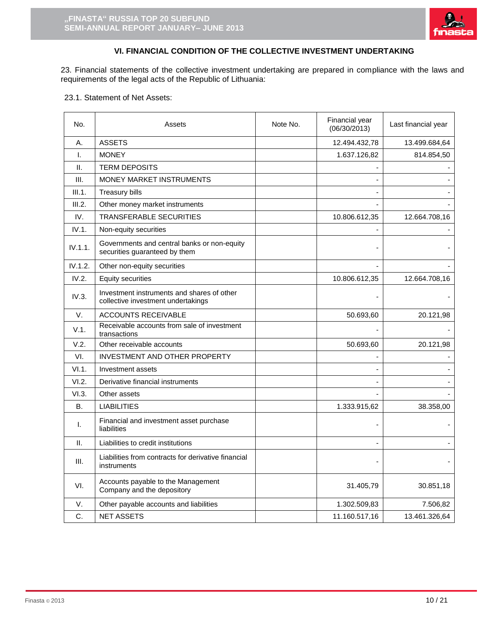

# **VI. FINANCIAL CONDITION OF THE COLLECTIVE INVESTMENT UNDERTAKING**

23. Financial statements of the collective investment undertaking are prepared in compliance with the laws and requirements of the legal acts of the Republic of Lithuania:

23.1. Statement of Net Assets:

| No.       | Note No.<br>Assets                                                               |  | Financial year<br>(06/30/2013) | Last financial year |
|-----------|----------------------------------------------------------------------------------|--|--------------------------------|---------------------|
| Α.        | <b>ASSETS</b>                                                                    |  | 12.494.432,78                  | 13.499.684,64       |
| I.        | <b>MONEY</b>                                                                     |  | 1.637.126,82                   | 814.854,50          |
| Ш.        | <b>TERM DEPOSITS</b>                                                             |  |                                |                     |
| III.      | MONEY MARKET INSTRUMENTS                                                         |  |                                |                     |
| III.1.    | <b>Treasury bills</b>                                                            |  |                                |                     |
| III.2.    | Other money market instruments                                                   |  |                                |                     |
| IV.       | TRANSFERABLE SECURITIES                                                          |  | 10.806.612,35                  | 12.664.708,16       |
| IV.1.     | Non-equity securities                                                            |  |                                |                     |
| IV.1.1.   | Governments and central banks or non-equity<br>securities guaranteed by them     |  |                                |                     |
| IV.1.2.   | Other non-equity securities                                                      |  |                                |                     |
| IV.2.     | <b>Equity securities</b>                                                         |  | 10.806.612,35                  | 12.664.708,16       |
| IV.3.     | Investment instruments and shares of other<br>collective investment undertakings |  |                                |                     |
| V.        | <b>ACCOUNTS RECEIVABLE</b>                                                       |  | 50.693,60                      | 20.121,98           |
| V.1.      | Receivable accounts from sale of investment<br>transactions                      |  |                                |                     |
| V.2.      | Other receivable accounts                                                        |  | 50.693,60                      | 20.121,98           |
| VI.       | INVESTMENT AND OTHER PROPERTY                                                    |  |                                |                     |
| VI.1.     | Investment assets                                                                |  |                                |                     |
| VI.2.     | Derivative financial instruments                                                 |  |                                |                     |
| VI.3.     | Other assets                                                                     |  |                                |                     |
| <b>B.</b> | <b>LIABILITIES</b>                                                               |  | 1.333.915,62                   | 38.358,00           |
| T.        | Financial and investment asset purchase<br>liabilities                           |  |                                |                     |
| H.        | Liabilities to credit institutions                                               |  |                                |                     |
| III.      | Liabilities from contracts for derivative financial<br>instruments               |  |                                |                     |
| VI.       | Accounts payable to the Management<br>Company and the depository                 |  | 31.405,79                      | 30.851,18           |
| V.        | Other payable accounts and liabilities                                           |  | 1.302.509,83                   | 7.506,82            |
| C.        | <b>NET ASSETS</b>                                                                |  | 11.160.517,16                  | 13.461.326,64       |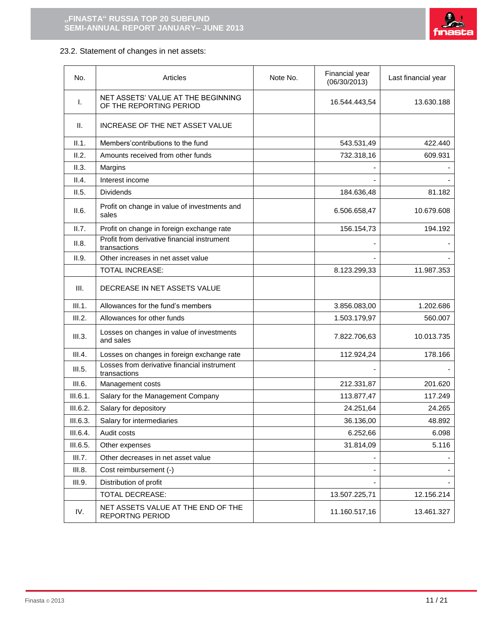

# 23.2. Statement of changes in net assets:

| No.      | Articles                                                      | Note No. | Financial year<br>(06/30/2013) | Last financial year |
|----------|---------------------------------------------------------------|----------|--------------------------------|---------------------|
| I.       | NET ASSETS' VALUE AT THE BEGINNING<br>OF THE REPORTING PERIOD |          | 16.544.443,54                  | 13.630.188          |
| Ш.       | INCREASE OF THE NET ASSET VALUE                               |          |                                |                     |
| II.1.    | Members' contributions to the fund                            |          | 543.531,49                     | 422.440             |
| II.2.    | Amounts received from other funds                             |          | 732.318,16                     | 609.931             |
| II.3.    | Margins                                                       |          |                                |                     |
| II.4.    | Interest income                                               |          |                                |                     |
| II.5.    | <b>Dividends</b>                                              |          | 184.636,48                     | 81.182              |
| II.6.    | Profit on change in value of investments and<br>sales         |          | 6.506.658,47                   | 10.679.608          |
| II.7.    | Profit on change in foreign exchange rate                     |          | 156.154,73                     | 194.192             |
| II.8.    | Profit from derivative financial instrument<br>transactions   |          |                                |                     |
| II.9.    | Other increases in net asset value                            |          |                                |                     |
|          | <b>TOTAL INCREASE:</b>                                        |          | 8.123.299,33                   | 11.987.353          |
| III.     | DECREASE IN NET ASSETS VALUE                                  |          |                                |                     |
| III.1.   | Allowances for the fund's members                             |          | 3.856.083,00                   | 1.202.686           |
| III.2.   | Allowances for other funds                                    |          | 1.503.179,97                   | 560.007             |
| III.3.   | Losses on changes in value of investments<br>and sales        |          | 7.822.706,63                   | 10.013.735          |
| III.4.   | Losses on changes in foreign exchange rate                    |          | 112.924,24                     | 178.166             |
| III.5.   | Losses from derivative financial instrument<br>transactions   |          |                                |                     |
| III.6.   | Management costs                                              |          | 212.331,87                     | 201.620             |
| III.6.1. | Salary for the Management Company                             |          | 113.877,47                     | 117.249             |
| III.6.2. | Salary for depository                                         |          | 24.251,64                      | 24.265              |
| III.6.3. | Salary for intermediaries                                     |          | 36.136,00                      | 48.892              |
| III.6.4. | Audit costs                                                   |          | 6.252,66                       | 6.098               |
| III.6.5. | Other expenses                                                |          | 31.814,09                      | 5.116               |
| III.7.   | Other decreases in net asset value                            |          |                                |                     |
| III.8.   | Cost reimbursement (-)                                        |          |                                |                     |
| III.9.   | Distribution of profit                                        |          |                                |                     |
|          | TOTAL DECREASE:                                               |          | 13.507.225,71                  | 12.156.214          |
| IV.      | NET ASSETS VALUE AT THE END OF THE<br><b>REPORTNG PERIOD</b>  |          | 11.160.517,16                  | 13.461.327          |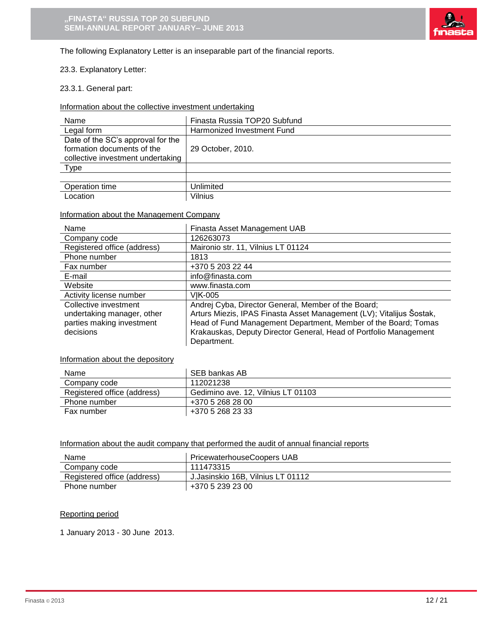

The following Explanatory Letter is an inseparable part of the financial reports.

### 23.3. Explanatory Letter:

### 23.3.1. General part:

Information about the collective investment undertaking

| Name                                                                                                 | Finasta Russia TOP20 Subfund |
|------------------------------------------------------------------------------------------------------|------------------------------|
| Legal form                                                                                           | Harmonized Investment Fund   |
| Date of the SC's approval for the<br>formation documents of the<br>collective investment undertaking | 29 October, 2010.            |
| <b>Type</b>                                                                                          |                              |
|                                                                                                      |                              |
| Operation time                                                                                       | Unlimited                    |
| Location                                                                                             | Vilnius                      |

### Information about the Management Company

| Name                        | Finasta Asset Management UAB                                         |
|-----------------------------|----------------------------------------------------------------------|
| Company code                | 126263073                                                            |
| Registered office (address) | Maironio str. 11, Vilnius LT 01124                                   |
| Phone number                | 1813                                                                 |
| Fax number                  | +370 5 203 22 44                                                     |
| E-mail                      | info@finasta.com                                                     |
| Website                     | www.finasta.com                                                      |
| Activity license number     | VIK-005                                                              |
| Collective investment       | Andrej Cyba, Director General, Member of the Board;                  |
| undertaking manager, other  | Arturs Miezis, IPAS Finasta Asset Management (LV); Vitalijus Šostak, |
| parties making investment   | Head of Fund Management Department, Member of the Board; Tomas       |
| decisions                   | Krakauskas, Deputy Director General, Head of Portfolio Management    |
|                             | Department.                                                          |

### Information about the depository

| Name                        | SEB bankas AB                      |
|-----------------------------|------------------------------------|
| Company code                | 112021238                          |
| Registered office (address) | Gedimino ave. 12, Vilnius LT 01103 |
| Phone number                | +370 5 268 28 00                   |
| Fax number                  | +370 5 268 23 33                   |

#### Information about the audit company that performed the audit of annual financial reports

| Name                        | <b>PricewaterhouseCoopers UAB</b> |
|-----------------------------|-----------------------------------|
| Company code                | 111473315                         |
| Registered office (address) | J.Jasinskio 16B. Vilnius LT 01112 |
| Phone number                | +370 5 239 23 00                  |

### Reporting period

1 January 2013 - 30 June 2013.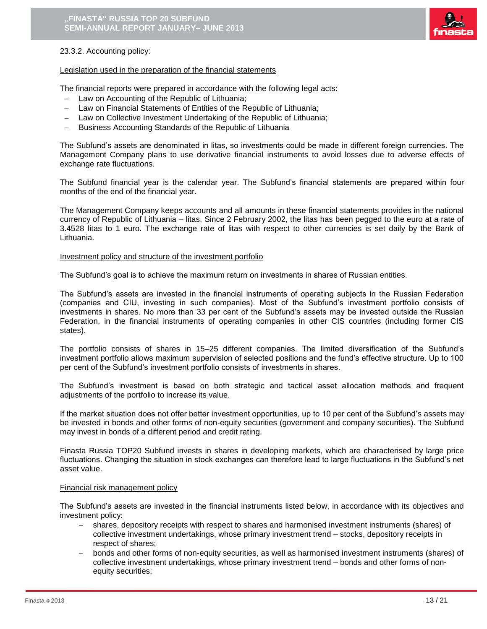

### 23.3.2. Accounting policy:

#### Legislation used in the preparation of the financial statements

The financial reports were prepared in accordance with the following legal acts:

- $-$  Law on Accounting of the Republic of Lithuania;
- Law on Financial Statements of Entities of the Republic of Lithuania;
- Law on Collective Investment Undertaking of the Republic of Lithuania;
- Business Accounting Standards of the Republic of Lithuania

The Subfund's assets are denominated in litas, so investments could be made in different foreign currencies. The Management Company plans to use derivative financial instruments to avoid losses due to adverse effects of exchange rate fluctuations.

The Subfund financial year is the calendar year. The Subfund's financial statements are prepared within four months of the end of the financial year.

The Management Company keeps accounts and all amounts in these financial statements provides in the national currency of Republic of Lithuania – litas. Since 2 February 2002, the litas has been pegged to the euro at a rate of 3.4528 litas to 1 euro. The exchange rate of litas with respect to other currencies is set daily by the Bank of Lithuania.

#### Investment policy and structure of the investment portfolio

The Subfund's goal is to achieve the maximum return on investments in shares of Russian entities.

The Subfund's assets are invested in the financial instruments of operating subjects in the Russian Federation (companies and CIU, investing in such companies). Most of the Subfund's investment portfolio consists of investments in shares. No more than 33 per cent of the Subfund's assets may be invested outside the Russian Federation, in the financial instruments of operating companies in other CIS countries (including former CIS states).

The portfolio consists of shares in 15–25 different companies. The limited diversification of the Subfund's investment portfolio allows maximum supervision of selected positions and the fund's effective structure. Up to 100 per cent of the Subfund's investment portfolio consists of investments in shares.

The Subfund's investment is based on both strategic and tactical asset allocation methods and frequent adjustments of the portfolio to increase its value.

If the market situation does not offer better investment opportunities, up to 10 per cent of the Subfund's assets may be invested in bonds and other forms of non-equity securities (government and company securities). The Subfund may invest in bonds of a different period and credit rating.

Finasta Russia TOP20 Subfund invests in shares in developing markets, which are characterised by large price fluctuations. Changing the situation in stock exchanges can therefore lead to large fluctuations in the Subfund's net asset value.

#### Financial risk management policy

The Subfund's assets are invested in the financial instruments listed below, in accordance with its objectives and investment policy:

- shares, depository receipts with respect to shares and harmonised investment instruments (shares) of collective investment undertakings, whose primary investment trend – stocks, depository receipts in respect of shares;
- bonds and other forms of non-equity securities, as well as harmonised investment instruments (shares) of collective investment undertakings, whose primary investment trend – bonds and other forms of nonequity securities;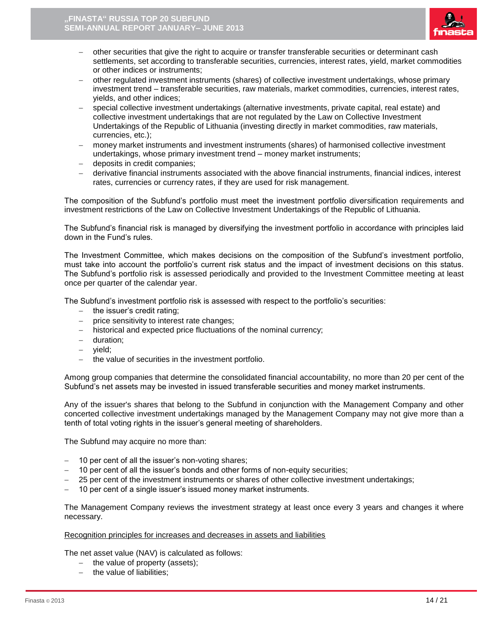

- other securities that give the right to acquire or transfer transferable securities or determinant cash settlements, set according to transferable securities, currencies, interest rates, yield, market commodities or other indices or instruments;
- other regulated investment instruments (shares) of collective investment undertakings, whose primary investment trend – transferable securities, raw materials, market commodities, currencies, interest rates, yields, and other indices;
- special collective investment undertakings (alternative investments, private capital, real estate) and collective investment undertakings that are not regulated by the Law on Collective Investment Undertakings of the Republic of Lithuania (investing directly in market commodities, raw materials, currencies, etc.);
- money market instruments and investment instruments (shares) of harmonised collective investment undertakings, whose primary investment trend – money market instruments;
- deposits in credit companies;
- derivative financial instruments associated with the above financial instruments, financial indices, interest rates, currencies or currency rates, if they are used for risk management.

The composition of the Subfund's portfolio must meet the investment portfolio diversification requirements and investment restrictions of the Law on Collective Investment Undertakings of the Republic of Lithuania.

The Subfund's financial risk is managed by diversifying the investment portfolio in accordance with principles laid down in the Fund's rules.

The Investment Committee, which makes decisions on the composition of the Subfund's investment portfolio, must take into account the portfolio's current risk status and the impact of investment decisions on this status. The Subfund's portfolio risk is assessed periodically and provided to the Investment Committee meeting at least once per quarter of the calendar year.

The Subfund's investment portfolio risk is assessed with respect to the portfolio's securities:

- $-$  the issuer's credit rating;
- $p =$  price sensitivity to interest rate changes;
- historical and expected price fluctuations of the nominal currency;
- duration:
- yield;
- the value of securities in the investment portfolio.

Among group companies that determine the consolidated financial accountability, no more than 20 per cent of the Subfund's net assets may be invested in issued transferable securities and money market instruments.

Any of the issuer's shares that belong to the Subfund in conjunction with the Management Company and other concerted collective investment undertakings managed by the Management Company may not give more than a tenth of total voting rights in the issuer's general meeting of shareholders.

The Subfund may acquire no more than:

- 10 per cent of all the issuer's non-voting shares;
- 10 per cent of all the issuer's bonds and other forms of non-equity securities;
- 25 per cent of the investment instruments or shares of other collective investment undertakings;
- 10 per cent of a single issuer's issued money market instruments.

The Management Company reviews the investment strategy at least once every 3 years and changes it where necessary.

### Recognition principles for increases and decreases in assets and liabilities

The net asset value (NAV) is calculated as follows:

- $-$  the value of property (assets);
- $-$  the value of liabilities;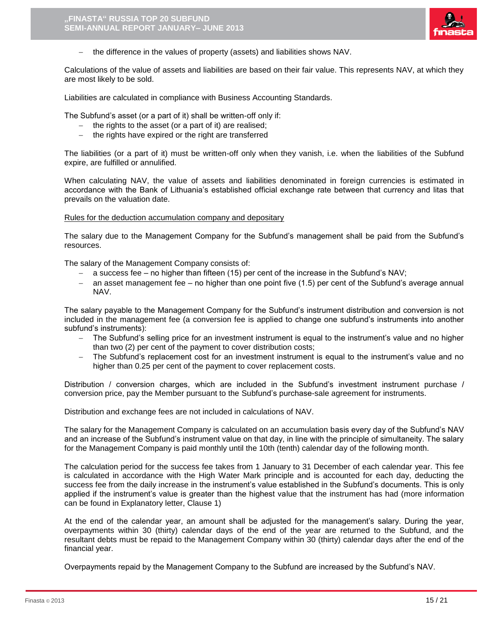

the difference in the values of property (assets) and liabilities shows NAV.

Calculations of the value of assets and liabilities are based on their fair value. This represents NAV, at which they are most likely to be sold.

Liabilities are calculated in compliance with Business Accounting Standards.

The Subfund's asset (or a part of it) shall be written-off only if:

- $-$  the rights to the asset (or a part of it) are realised;
- $-$  the rights have expired or the right are transferred

The liabilities (or a part of it) must be written-off only when they vanish, i.e. when the liabilities of the Subfund expire, are fulfilled or annulified.

When calculating NAV, the value of assets and liabilities denominated in foreign currencies is estimated in accordance with the Bank of Lithuania's established official exchange rate between that currency and litas that prevails on the valuation date.

#### Rules for the deduction accumulation company and depositary

The salary due to the Management Company for the Subfund's management shall be paid from the Subfund's resources.

The salary of the Management Company consists of:

- a success fee no higher than fifteen (15) per cent of the increase in the Subfund's NAV;
- $-$  an asset management fee no higher than one point five (1.5) per cent of the Subfund's average annual NAV.

The salary payable to the Management Company for the Subfund's instrument distribution and conversion is not included in the management fee (a conversion fee is applied to change one subfund's instruments into another subfund's instruments):

- The Subfund's selling price for an investment instrument is equal to the instrument's value and no higher than two (2) per cent of the payment to cover distribution costs;
- The Subfund's replacement cost for an investment instrument is equal to the instrument's value and no higher than 0.25 per cent of the payment to cover replacement costs.

Distribution / conversion charges, which are included in the Subfund's investment instrument purchase / conversion price, pay the Member pursuant to the Subfund's purchase-sale agreement for instruments.

Distribution and exchange fees are not included in calculations of NAV.

The salary for the Management Company is calculated on an accumulation basis every day of the Subfund's NAV and an increase of the Subfund's instrument value on that day, in line with the principle of simultaneity. The salary for the Management Company is paid monthly until the 10th (tenth) calendar day of the following month.

The calculation period for the success fee takes from 1 January to 31 December of each calendar year. This fee is calculated in accordance with the High Water Mark principle and is accounted for each day, deducting the success fee from the daily increase in the instrument's value established in the Subfund's documents. This is only applied if the instrument's value is greater than the highest value that the instrument has had (more information can be found in Explanatory letter, Clause 1)

At the end of the calendar year, an amount shall be adjusted for the management's salary. During the year, overpayments within 30 (thirty) calendar days of the end of the year are returned to the Subfund, and the resultant debts must be repaid to the Management Company within 30 (thirty) calendar days after the end of the financial year.

Overpayments repaid by the Management Company to the Subfund are increased by the Subfund's NAV.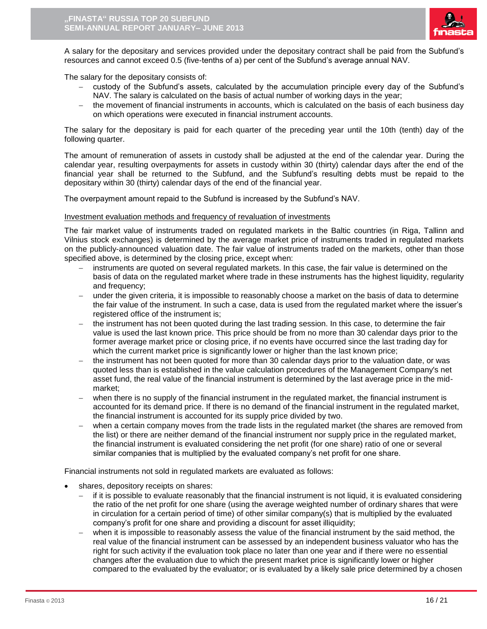

A salary for the depositary and services provided under the depositary contract shall be paid from the Subfund's resources and cannot exceed 0.5 (five-tenths of a) per cent of the Subfund's average annual NAV.

The salary for the depositary consists of:

- custody of the Subfund's assets, calculated by the accumulation principle every day of the Subfund's NAV. The salary is calculated on the basis of actual number of working days in the year;
- the movement of financial instruments in accounts, which is calculated on the basis of each business day on which operations were executed in financial instrument accounts.

The salary for the depositary is paid for each quarter of the preceding year until the 10th (tenth) day of the following quarter.

The amount of remuneration of assets in custody shall be adjusted at the end of the calendar year. During the calendar year, resulting overpayments for assets in custody within 30 (thirty) calendar days after the end of the financial year shall be returned to the Subfund, and the Subfund's resulting debts must be repaid to the depositary within 30 (thirty) calendar days of the end of the financial year.

The overpayment amount repaid to the Subfund is increased by the Subfund's NAV.

#### Investment evaluation methods and frequency of revaluation of investments

The fair market value of instruments traded on regulated markets in the Baltic countries (in Riga, Tallinn and Vilnius stock exchanges) is determined by the average market price of instruments traded in regulated markets on the publicly-announced valuation date. The fair value of instruments traded on the markets, other than those specified above, is determined by the closing price, except when:

- instruments are quoted on several regulated markets. In this case, the fair value is determined on the basis of data on the regulated market where trade in these instruments has the highest liquidity, regularity and frequency;
- under the given criteria, it is impossible to reasonably choose a market on the basis of data to determine the fair value of the instrument. In such a case, data is used from the regulated market where the issuer's registered office of the instrument is;
- the instrument has not been quoted during the last trading session. In this case, to determine the fair value is used the last known price. This price should be from no more than 30 calendar days prior to the former average market price or closing price, if no events have occurred since the last trading day for which the current market price is significantly lower or higher than the last known price;
- the instrument has not been quoted for more than 30 calendar days prior to the valuation date, or was quoted less than is established in the value calculation procedures of the Management Company's net asset fund, the real value of the financial instrument is determined by the last average price in the midmarket;
- when there is no supply of the financial instrument in the regulated market, the financial instrument is accounted for its demand price. If there is no demand of the financial instrument in the regulated market, the financial instrument is accounted for its supply price divided by two.
- when a certain company moves from the trade lists in the regulated market (the shares are removed from the list) or there are neither demand of the financial instrument nor supply price in the regulated market, the financial instrument is evaluated considering the net profit (for one share) ratio of one or several similar companies that is multiplied by the evaluated company's net profit for one share.

Financial instruments not sold in regulated markets are evaluated as follows:

- shares, depository receipts on shares:
	- if it is possible to evaluate reasonably that the financial instrument is not liquid, it is evaluated considering the ratio of the net profit for one share (using the average weighted number of ordinary shares that were in circulation for a certain period of time) of other similar company(s) that is multiplied by the evaluated company's profit for one share and providing a discount for asset illiquidity;
	- when it is impossible to reasonably assess the value of the financial instrument by the said method, the real value of the financial instrument can be assessed by an independent business valuator who has the right for such activity if the evaluation took place no later than one year and if there were no essential changes after the evaluation due to which the present market price is significantly lower or higher compared to the evaluated by the evaluator; or is evaluated by a likely sale price determined by a chosen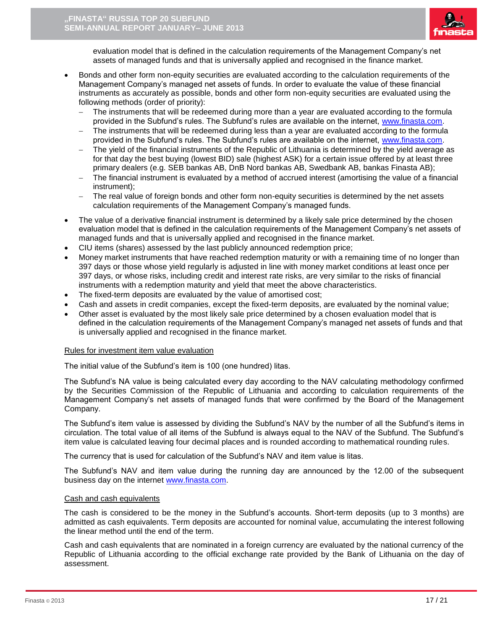

evaluation model that is defined in the calculation requirements of the Management Company's net assets of managed funds and that is universally applied and recognised in the finance market.

- Bonds and other form non-equity securities are evaluated according to the calculation requirements of the Management Company's managed net assets of funds. In order to evaluate the value of these financial instruments as accurately as possible, bonds and other form non-equity securities are evaluated using the following methods (order of priority):
	- The instruments that will be redeemed during more than a year are evaluated according to the formula provided in the Subfund's rules. The Subfund's rules are available on the internet, [www.finasta.com.](http://www.finasta.com/)
	- The instruments that will be redeemed during less than a year are evaluated according to the formula provided in the Subfund's rules. The Subfund's rules are available on the internet, [www.finasta.com.](http://www.finasta.com/)
	- The yield of the financial instruments of the Republic of Lithuania is determined by the yield average as for that day the best buying (lowest BID) sale (highest ASK) for a certain issue offered by at least three primary dealers (e.g. SEB bankas AB, DnB Nord bankas AB, Swedbank AB, bankas Finasta AB);
	- The financial instrument is evaluated by a method of accrued interest (amortising the value of a financial instrument);
	- The real value of foreign bonds and other form non-equity securities is determined by the net assets calculation requirements of the Management Company's managed funds.
- The value of a derivative financial instrument is determined by a likely sale price determined by the chosen evaluation model that is defined in the calculation requirements of the Management Company's net assets of managed funds and that is universally applied and recognised in the finance market.
- CIU items (shares) assessed by the last publicly announced redemption price;
- Money market instruments that have reached redemption maturity or with a remaining time of no longer than 397 days or those whose yield regularly is adjusted in line with money market conditions at least once per 397 days, or whose risks, including credit and interest rate risks, are very similar to the risks of financial instruments with a redemption maturity and yield that meet the above characteristics.
- The fixed-term deposits are evaluated by the value of amortised cost;
- Cash and assets in credit companies, except the fixed-term deposits, are evaluated by the nominal value;
- Other asset is evaluated by the most likely sale price determined by a chosen evaluation model that is defined in the calculation requirements of the Management Company's managed net assets of funds and that is universally applied and recognised in the finance market.

### Rules for investment item value evaluation

The initial value of the Subfund's item is 100 (one hundred) litas.

The Subfund's NA value is being calculated every day according to the NAV calculating methodology confirmed by the Securities Commission of the Republic of Lithuania and according to calculation requirements of the Management Company's net assets of managed funds that were confirmed by the Board of the Management Company.

The Subfund's item value is assessed by dividing the Subfund's NAV by the number of all the Subfund's items in circulation. The total value of all items of the Subfund is always equal to the NAV of the Subfund. The Subfund's item value is calculated leaving four decimal places and is rounded according to mathematical rounding rules.

The currency that is used for calculation of the Subfund's NAV and item value is litas.

The Subfund's NAV and item value during the running day are announced by the 12.00 of the subsequent business day on the internet [www.finasta.com.](http://www.finasta.com/)

### Cash and cash equivalents

The cash is considered to be the money in the Subfund's accounts. Short-term deposits (up to 3 months) are admitted as cash equivalents. Term deposits are accounted for nominal value, accumulating the interest following the linear method until the end of the term.

Cash and cash equivalents that are nominated in a foreign currency are evaluated by the national currency of the Republic of Lithuania according to the official exchange rate provided by the Bank of Lithuania on the day of assessment.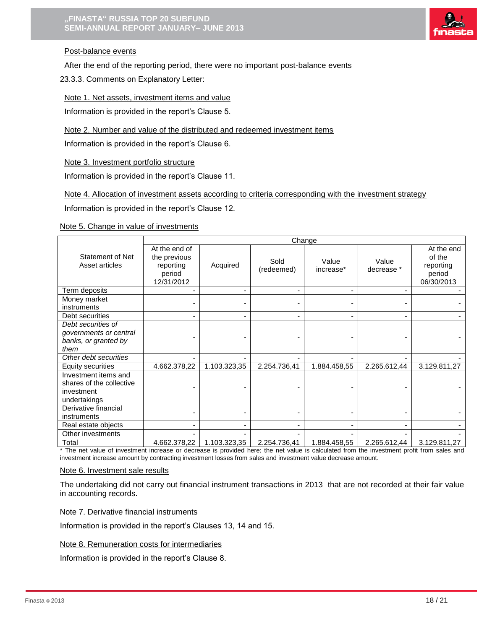

## Post-balance events

After the end of the reporting period, there were no important post-balance events

23.3.3. Comments on Explanatory Letter:

### Note 1. Net assets, investment items and value

Information is provided in the report's Clause 5.

Note 2. Number and value of the distributed and redeemed investment items

Information is provided in the report's Clause 6.

Note 3. Investment portfolio structure

Information is provided in the report's Clause 11.

Note 4. Allocation of investment assets according to criteria corresponding with the investment strategy

Information is provided in the report's Clause 12.

### Note 5. Change in value of investments

|                                                                                | Change                                                             |              |                    |                    |                     |                                                           |
|--------------------------------------------------------------------------------|--------------------------------------------------------------------|--------------|--------------------|--------------------|---------------------|-----------------------------------------------------------|
| Statement of Net<br>Asset articles                                             | At the end of<br>the previous<br>reporting<br>period<br>12/31/2012 | Acquired     | Sold<br>(redeemed) | Value<br>increase* | Value<br>decrease * | At the end<br>of the<br>reporting<br>period<br>06/30/2013 |
| Term deposits                                                                  |                                                                    |              |                    |                    |                     |                                                           |
| Money market<br>instruments                                                    |                                                                    |              |                    |                    |                     |                                                           |
| Debt securities                                                                |                                                                    |              |                    |                    |                     |                                                           |
| Debt securities of<br>governments or central<br>banks, or granted by<br>them   |                                                                    |              |                    |                    |                     |                                                           |
| Other debt securities                                                          |                                                                    |              |                    |                    |                     |                                                           |
| <b>Equity securities</b>                                                       | 4.662.378,22                                                       | 1.103.323,35 | 2.254.736,41       | 1.884.458,55       | 2.265.612,44        | 3.129.811,27                                              |
| Investment items and<br>shares of the collective<br>investment<br>undertakings |                                                                    |              |                    |                    |                     |                                                           |
| Derivative financial<br>instruments                                            |                                                                    |              |                    |                    |                     |                                                           |
| Real estate objects                                                            |                                                                    | ٠            |                    |                    |                     |                                                           |
| Other investments                                                              |                                                                    |              |                    |                    |                     |                                                           |
| Total<br>The contract construction of the                                      | 4.662.378,22                                                       | 1.103.323,35 | 2.254.736,41       | 1.884.458,55       | 2.265.612,44        | 3.129.811,27                                              |

The net value of investment increase or decrease is provided here; the net value is calculated from the investment profit from sales and investment increase amount by contracting investment losses from sales and investment value decrease amount.

### Note 6. Investment sale results

The undertaking did not carry out financial instrument transactions in 2013 that are not recorded at their fair value in accounting records.

Note 7. Derivative financial instruments

Information is provided in the report's Clauses 13, 14 and 15.

Note 8. Remuneration costs for intermediaries

Information is provided in the report's Clause 8.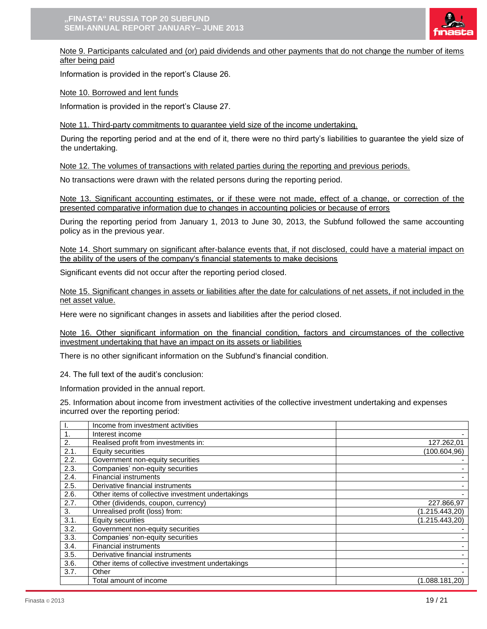

Note 9. Participants calculated and (or) paid dividends and other payments that do not change the number of items after being paid

Information is provided in the report's Clause 26.

Note 10. Borrowed and lent funds

Information is provided in the report's Clause 27.

Note 11. Third-party commitments to guarantee yield size of the income undertaking.

During the reporting period and at the end of it, there were no third party's liabilities to guarantee the yield size of the undertaking.

Note 12. The volumes of transactions with related parties during the reporting and previous periods.

No transactions were drawn with the related persons during the reporting period.

Note 13. Significant accounting estimates, or if these were not made, effect of a change, or correction of the presented comparative information due to changes in accounting policies or because of errors

During the reporting period from January 1, 2013 to June 30, 2013, the Subfund followed the same accounting policy as in the previous year.

Note 14. Short summary on significant after-balance events that, if not disclosed, could have a material impact on the ability of the users of the company's financial statements to make decisions

Significant events did not occur after the reporting period closed.

Note 15. Significant changes in assets or liabilities after the date for calculations of net assets, if not included in the net asset value.

Here were no significant changes in assets and liabilities after the period closed.

Note 16. Other significant information on the financial condition, factors and circumstances of the collective investment undertaking that have an impact on its assets or liabilities

There is no other significant information on the Subfund's financial condition.

24. The full text of the audit's conclusion:

Information provided in the annual report.

25. Information about income from investment activities of the collective investment undertaking and expenses incurred over the reporting period:

|      | Income from investment activities                 |                 |
|------|---------------------------------------------------|-----------------|
|      | Interest income                                   |                 |
| 2.   | Realised profit from investments in:              | 127.262,01      |
| 2.1. | <b>Equity securities</b>                          | (100.604, 96)   |
| 2.2. | Government non-equity securities                  |                 |
| 2.3. | Companies' non-equity securities                  |                 |
| 2.4. | <b>Financial instruments</b>                      |                 |
| 2.5. | Derivative financial instruments                  |                 |
| 2.6. | Other items of collective investment undertakings |                 |
| 2.7. | Other (dividends, coupon, currency)               | 227.866,97      |
| 3.   | Unrealised profit (loss) from:                    | (1.215.443,20)  |
| 3.1. | <b>Equity securities</b>                          | (1.215.443,20)  |
| 3.2. | Government non-equity securities                  |                 |
| 3.3. | Companies' non-equity securities                  |                 |
| 3.4. | <b>Financial instruments</b>                      |                 |
| 3.5. | Derivative financial instruments                  |                 |
| 3.6. | Other items of collective investment undertakings |                 |
| 3.7. | Other                                             |                 |
|      | Total amount of income                            | (1.088.181, 20) |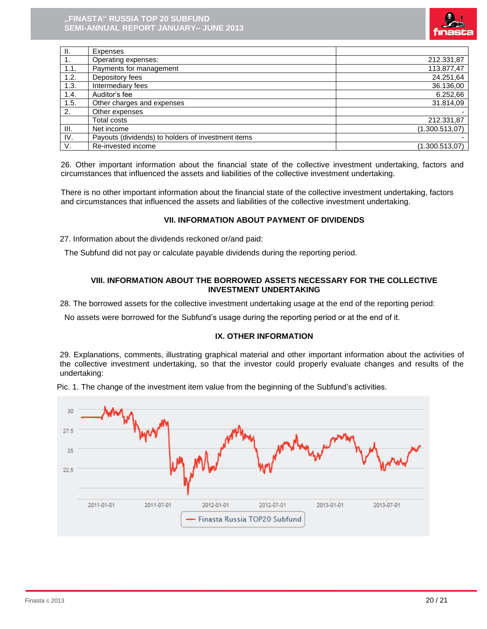

| $\mathbf{II}$ . | Expenses                                           |                |
|-----------------|----------------------------------------------------|----------------|
| 1.              | Operating expenses:                                | 212.331,87     |
| 1.1.            | Payments for management                            | 113.877,47     |
| 1.2.            | Depository fees                                    | 24.251,64      |
| 1.3.            | Intermediary fees                                  | 36.136,00      |
| 1.4.            | Auditor's fee                                      | 6.252,66       |
| 1.5.            | Other charges and expenses                         | 31.814,09      |
| 2.              | Other expenses                                     |                |
|                 | <b>Total costs</b>                                 | 212.331,87     |
| III.            | Net income                                         | (1.300.513,07) |
| IV.             | Payouts (dividends) to holders of investment items |                |
| V.              | Re-invested income                                 | (1.300.513,07) |

26. Other important information about the financial state of the collective investment undertaking, factors and circumstances that influenced the assets and liabilities of the collective investment undertaking.

There is no other important information about the financial state of the collective investment undertaking, factors and circumstances that influenced the assets and liabilities of the collective investment undertaking.

### **VII. INFORMATION ABOUT PAYMENT OF DIVIDENDS**

27. Information about the dividends reckoned or/and paid:

The Subfund did not pay or calculate payable dividends during the reporting period.

### **VIII. INFORMATION ABOUT THE BORROWED ASSETS NECESSARY FOR THE COLLECTIVE INVESTMENT UNDERTAKING**

28. The borrowed assets for the collective investment undertaking usage at the end of the reporting period:

No assets were borrowed for the Subfund's usage during the reporting period or at the end of it.

# **IX. OTHER INFORMATION**

29. Explanations, comments, illustrating graphical material and other important information about the activities of the collective investment undertaking, so that the investor could properly evaluate changes and results of the undertaking:



Pic. 1. The change of the investment item value from the beginning of the Subfund's activities.